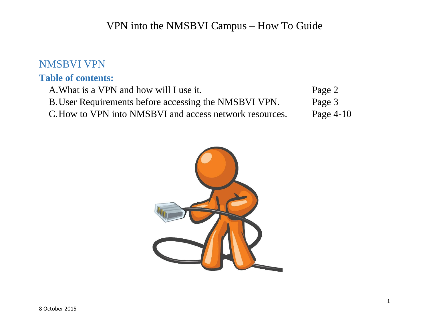### NMSBVI VPN

#### **Table of contents:**

| A. What is a VPN and how will I use it.                 | Page 2      |
|---------------------------------------------------------|-------------|
| B. User Requirements before accessing the NMSBVI VPN.   | Page 3      |
| C. How to VPN into NMSBVI and access network resources. | Page $4-10$ |

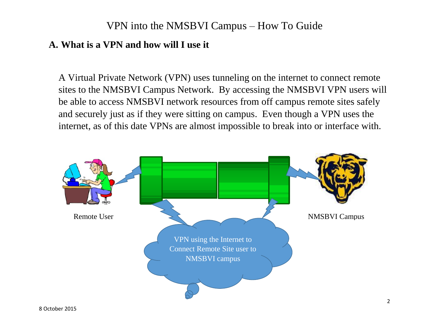#### **A. What is a VPN and how will I use it**

A Virtual Private Network (VPN) uses tunneling on the internet to connect remote sites to the NMSBVI Campus Network. By accessing the NMSBVI VPN users will be able to access NMSBVI network resources from off campus remote sites safely and securely just as if they were sitting on campus. Even though a VPN uses the internet, as of this date VPNs are almost impossible to break into or interface with.

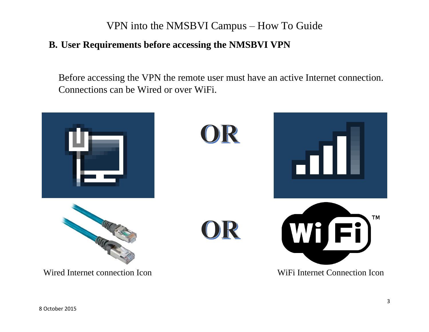#### **B. User Requirements before accessing the NMSBVI VPN**

Before accessing the VPN the remote user must have an active Internet connection. Connections can be Wired or over WiFi.

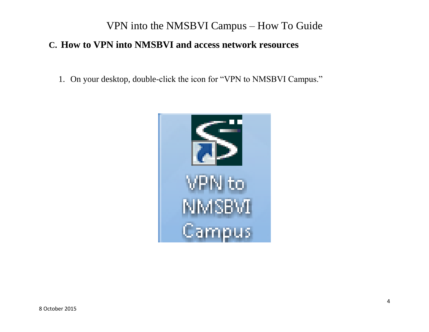### **C. How to VPN into NMSBVI and access network resources**

1. On your desktop, double-click the icon for "VPN to NMSBVI Campus."

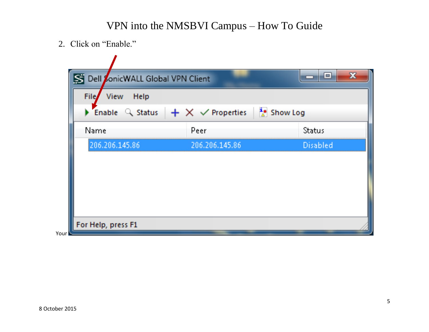2. Click on "Enable."

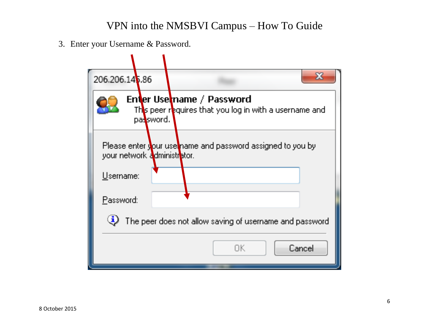3. Enter your Username & Password.

| 206.206.146.86                                                                                   |    | 53     |  |  |
|--------------------------------------------------------------------------------------------------|----|--------|--|--|
| Enter Usetname / Password<br>This peer requires that you log in with a username and<br>password. |    |        |  |  |
| Please enter your use name and password assigned to you by<br>your network administrator.        |    |        |  |  |
| Username:                                                                                        |    |        |  |  |
| Password:                                                                                        |    |        |  |  |
| $\left(\mathbf{\bar{i}}\right)$<br>The peer does not allow saving of username and password       |    |        |  |  |
|                                                                                                  | ΠК | Cancel |  |  |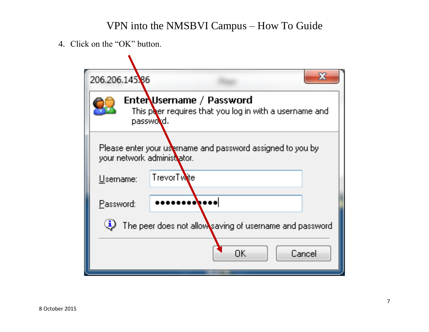4. Click on the "OK" button.

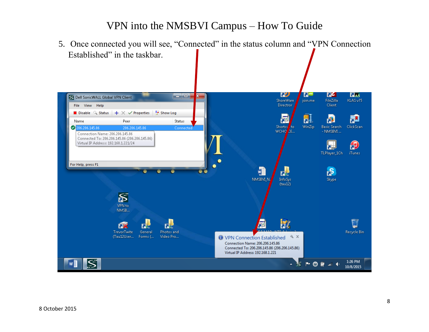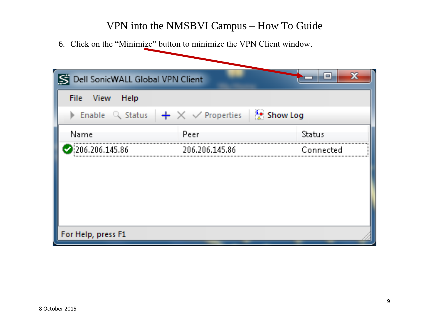6. Click on the "Minimize" button to minimize the VPN Client window.

| 冨<br>Dell SonicWALL Global VPN Client                                                     |                | 23<br>$=$ |  |  |
|-------------------------------------------------------------------------------------------|----------------|-----------|--|--|
| File View<br>Help                                                                         |                |           |  |  |
| Enable $\mathbb Q$ Status $\frac{1}{2} \times \sqrt{2}$ Properties $\frac{1}{2}$ Show Log |                |           |  |  |
| Name                                                                                      | Peer           | Status    |  |  |
| 206.206.145.86                                                                            | 206.206.145.86 | Connected |  |  |
|                                                                                           |                |           |  |  |
|                                                                                           |                |           |  |  |
|                                                                                           |                |           |  |  |
|                                                                                           |                |           |  |  |
| For Help, press F1                                                                        |                |           |  |  |